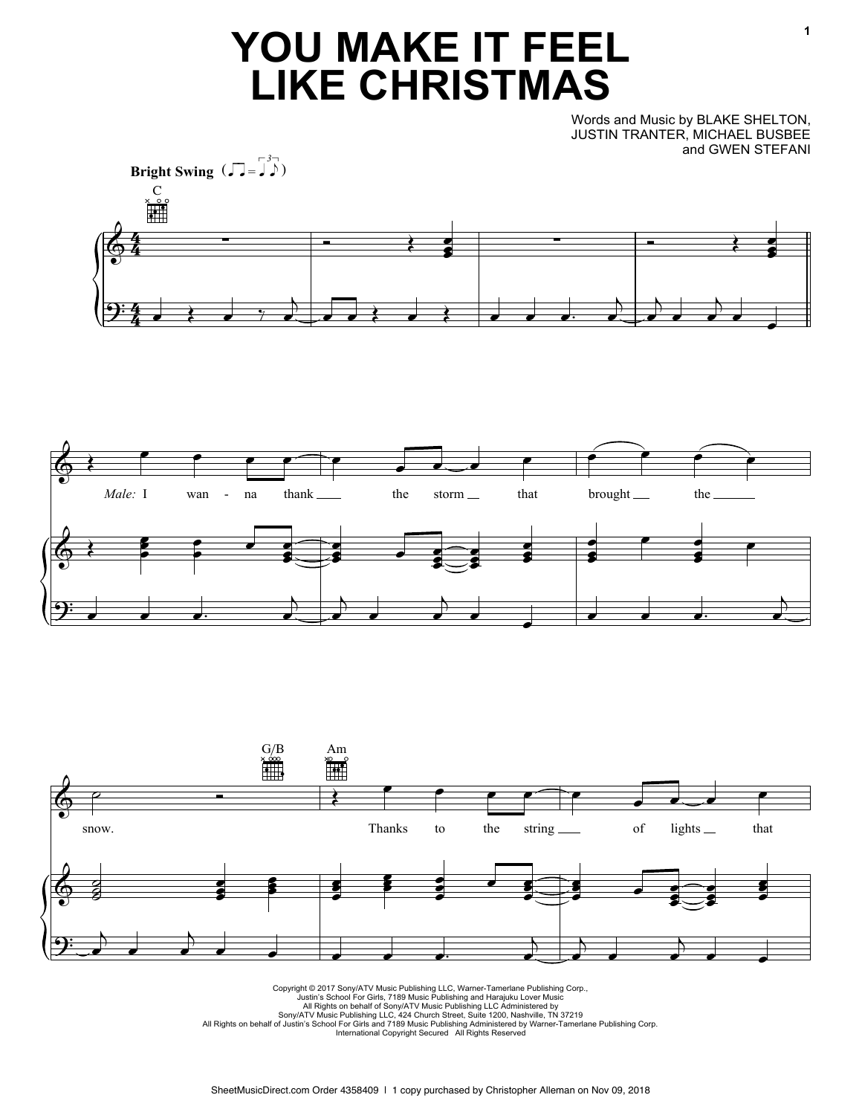## **YOU MAKE IT FEEL LIKE CHRISTMAS**

Words and Music by BLAKE SHELTON, JUSTIN TRANTER, MICHAEL BUSBEE and GWEN STEFANI







Copyright © 2017 Sony/ATV Music Publishing LLC, Warner-Tamerlane Publishing Corp.,<br>Uustin's School For Girls, 7189 Music Publishing and Harajuku Lover Music<br>All Rights on behalf of Sony/ATV Music Publishing LLC Administer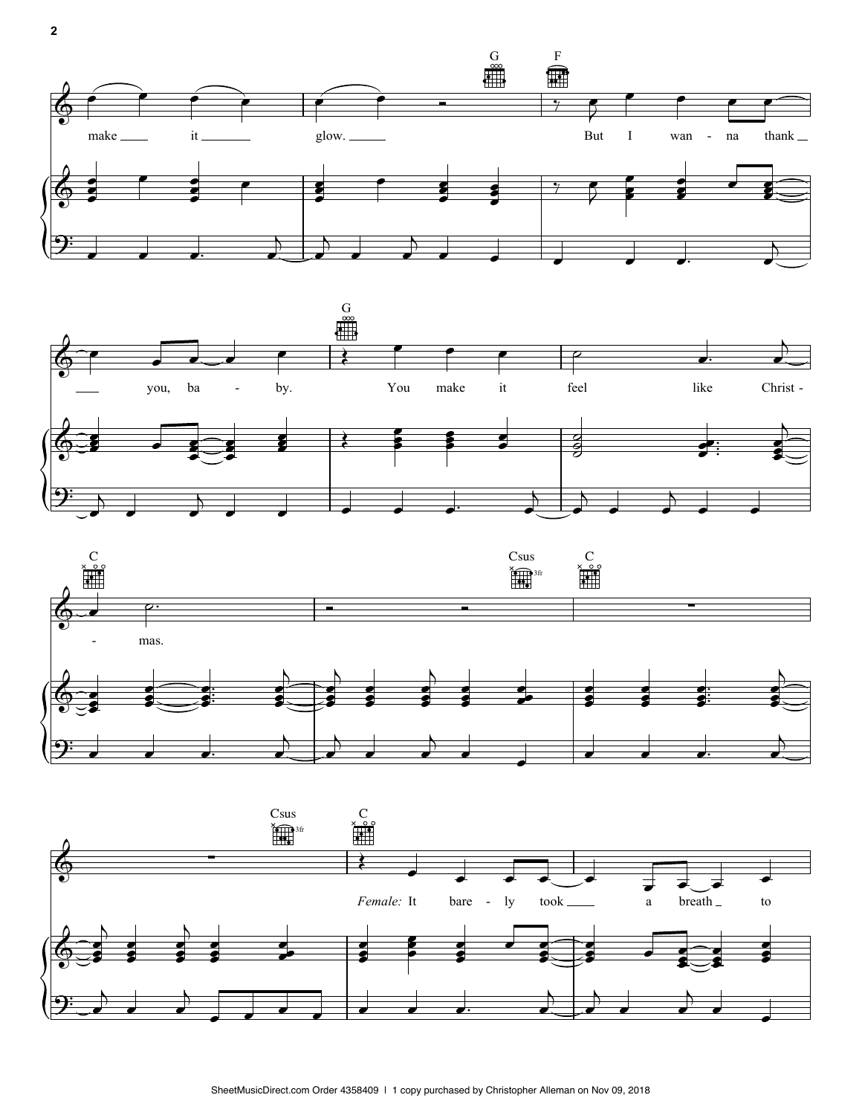







**2**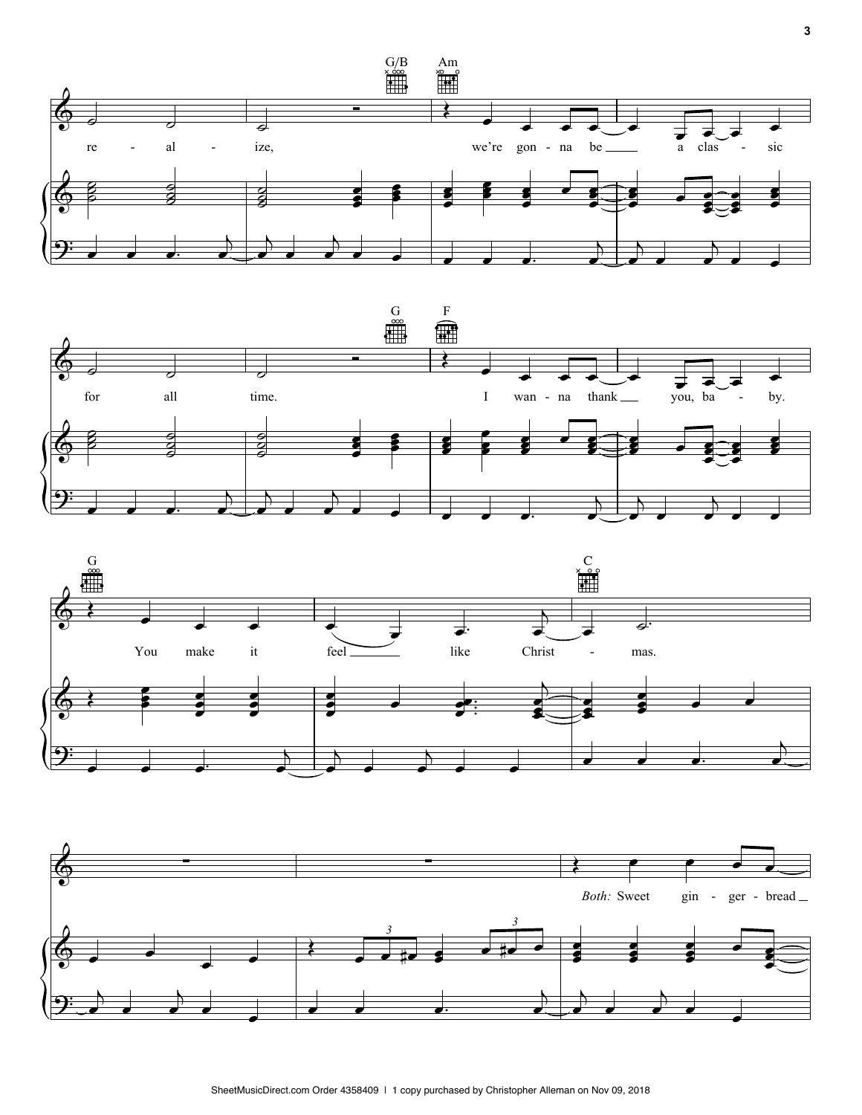





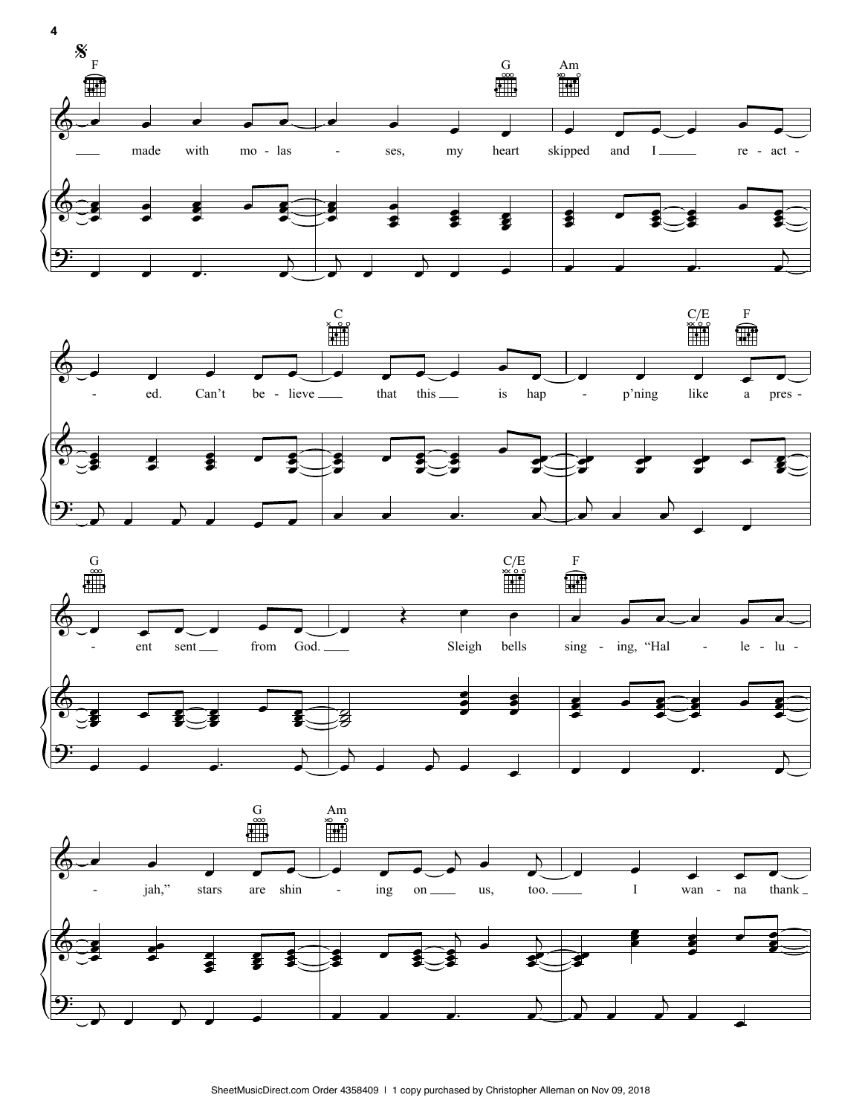







SheetMusicDirect.com Order 4358409 | 1 copy purchased by Christopher Alleman on Nov 09, 2018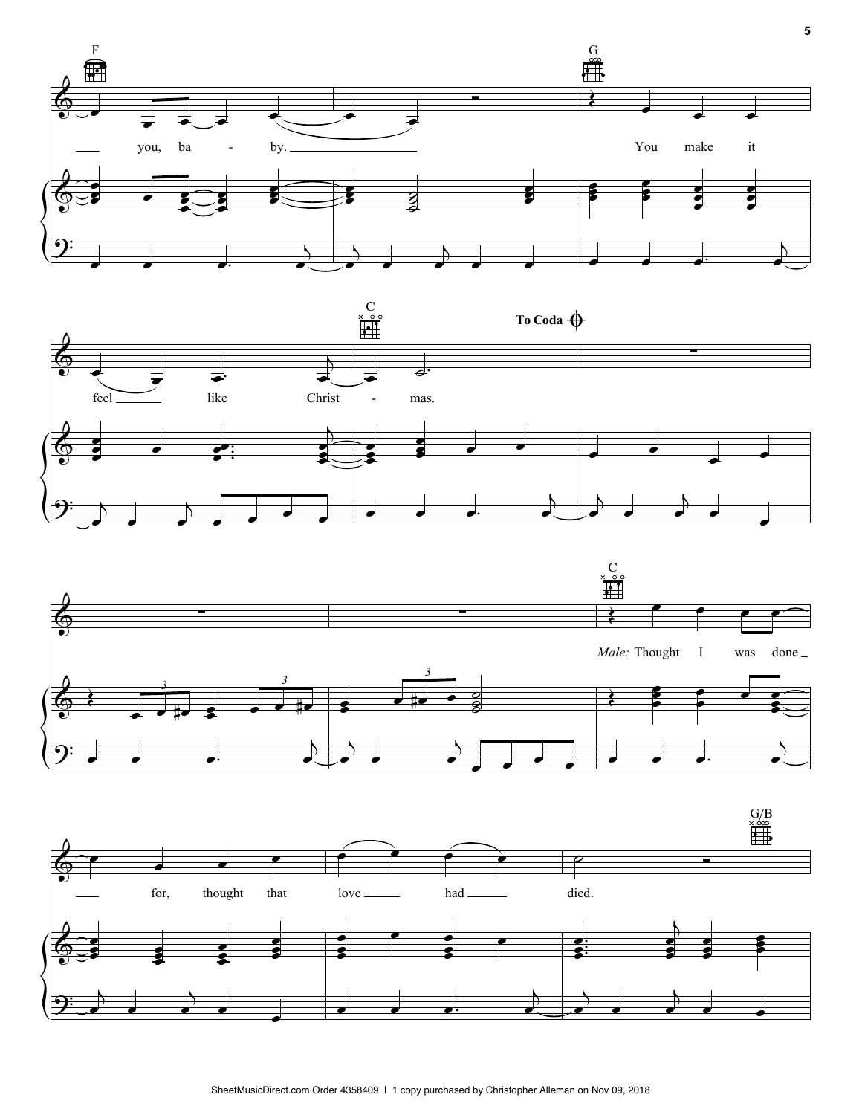





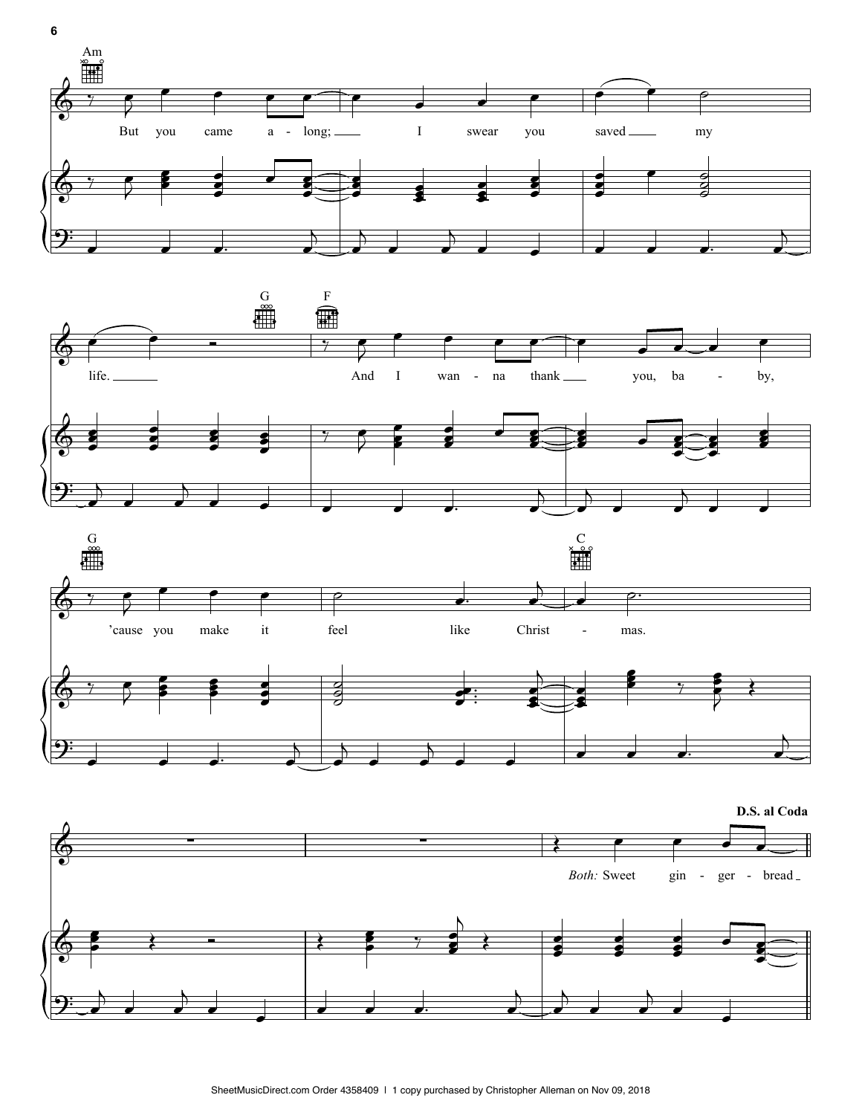







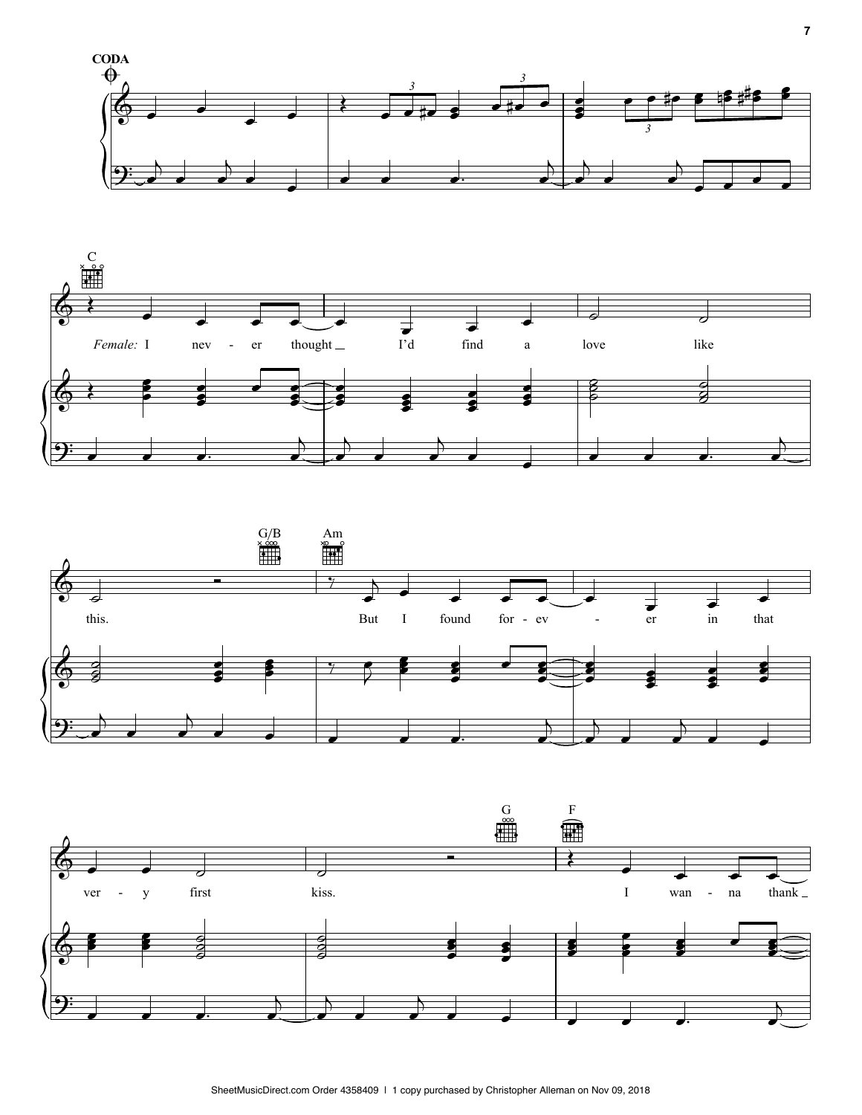